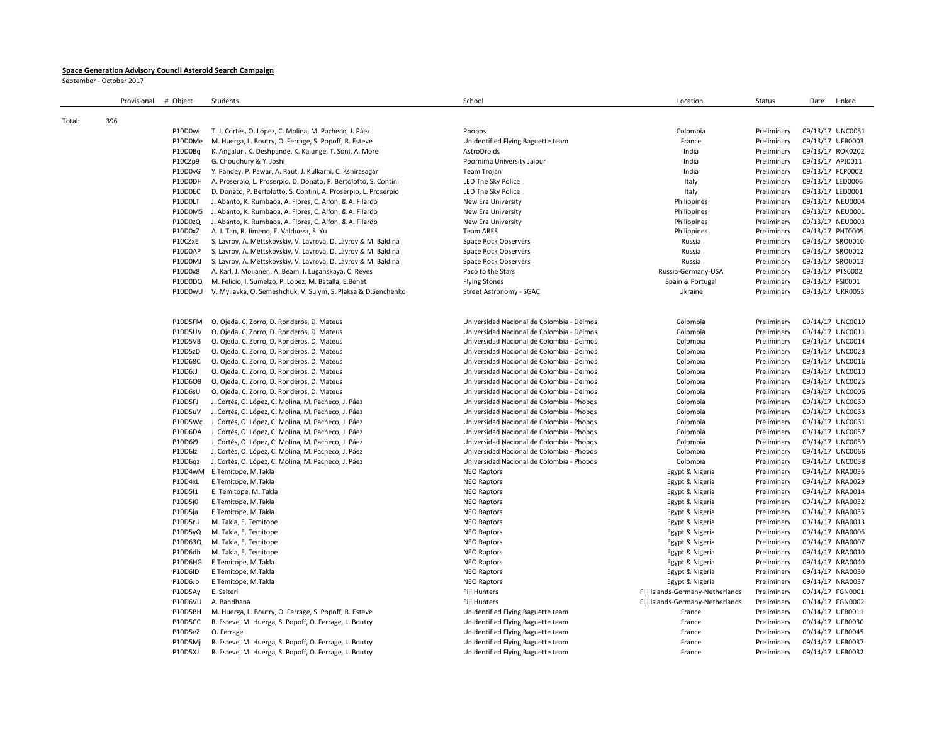## **Space Generation Advisory Council Asteroid Search Campaign**

September - October 2017

|        | Provisional | # Object       | Students                                                         | School                                    | Location                         | Status      | Linked<br>Date   |
|--------|-------------|----------------|------------------------------------------------------------------|-------------------------------------------|----------------------------------|-------------|------------------|
|        | 396         |                |                                                                  |                                           |                                  |             |                  |
| Total: |             | P10D0wi        | T. J. Cortés, O. López, C. Molina, M. Pacheco, J. Páez           | Phobos                                    | Colombia                         | Preliminary | 09/13/17 UNC0051 |
|        |             | P10D0Me        | M. Huerga, L. Boutry, O. Ferrage, S. Popoff, R. Esteve           | Unidentified Flying Baguette team         | France                           | Preliminary | 09/13/17 UFB0003 |
|        |             | P10D0Bq        | K. Angaluri, K. Deshpande, K. Kalunge, T. Soni, A. More          | AstroDroids                               | India                            | Preliminary | 09/13/17 ROK0202 |
|        |             | P10CZp9        | G. Choudhury & Y. Joshi                                          | Poornima University Jaipur                | India                            | Preliminary | 09/13/17 APJ0011 |
|        |             | P10D0vG        | Y. Pandey, P. Pawar, A. Raut, J. Kulkarni, C. Kshirasagar        | Team Trojan                               | India                            | Preliminary | 09/13/17 FCP0002 |
|        |             | P10D0DH        | A. Proserpio, L. Proserpio, D. Donato, P. Bertolotto, S. Contini | LED The Sky Police                        | Italy                            | Preliminary | 09/13/17 LED0006 |
|        |             | P10D0EC        | D. Donato, P. Bertolotto, S. Contini, A. Proserpio, L. Proserpio | LED The Sky Police                        | Italy                            | Preliminary | 09/13/17 LED0001 |
|        |             | P10D0LT        | J. Abanto, K. Rumbaoa, A. Flores, C. Alfon, & A. Filardo         | New Era University                        | Philippines                      | Preliminary | 09/13/17 NEU0004 |
|        |             | P10D0M5        | J. Abanto, K. Rumbaoa, A. Flores, C. Alfon, & A. Filardo         | New Era University                        | Philippines                      | Preliminary | 09/13/17 NEU0001 |
|        |             | P10D0zQ        | J. Abanto, K. Rumbaoa, A. Flores, C. Alfon, & A. Filardo         | New Era University                        | Philippines                      | Preliminary | 09/13/17 NEU0003 |
|        |             | P10D0xZ        | A. J. Tan, R. Jimeno, E. Valdueza, S. Yu                         | <b>Team ARES</b>                          | Philippines                      | Preliminary | 09/13/17 PHT0005 |
|        |             | P10CZxE        | S. Lavrov, A. Mettskovskiy, V. Lavrova, D. Lavrov & M. Baldina   | Space Rock Observers                      | Russia                           | Preliminary | 09/13/17 SRO0010 |
|        |             | P10D0AP        | S. Lavrov, A. Mettskovskiy, V. Lavrova, D. Lavrov & M. Baldina   | Space Rock Observers                      | Russia                           | Preliminary | 09/13/17 SRO0012 |
|        |             | P10D0MJ        | S. Lavrov, A. Mettskovskiy, V. Lavrova, D. Lavrov & M. Baldina   | <b>Space Rock Observers</b>               | Russia                           | Preliminary | 09/13/17 SRO0013 |
|        |             | P10D0x8        | A. Karl, J. Moilanen, A. Beam, I. Luganskaya, C. Reyes           | Paco to the Stars                         | Russia-Germany-USA               | Preliminary | 09/13/17 PTS0002 |
|        |             | P10D0DQ        | M. Felicio, I. Sumelzo, P. Lopez, M. Batalla, E.Benet            | <b>Flying Stones</b>                      | Spain & Portugal                 | Preliminary | 09/13/17 FSI0001 |
|        |             | P10D0wU        | V. Myliavka, O. Semeshchuk, V. Sulym, S. Plaksa & D. Senchenko   | Street Astronomy - SGAC                   | Ukraine                          | Preliminary | 09/13/17 UKR0053 |
|        |             |                |                                                                  |                                           |                                  |             |                  |
|        |             | P10D5FM        | O. Ojeda, C. Zorro, D. Ronderos, D. Mateus                       | Universidad Nacional de Colombia - Deimos | Colombia                         | Preliminary | 09/14/17 UNC0019 |
|        |             | <b>P10D5UV</b> | O. Ojeda, C. Zorro, D. Ronderos, D. Mateus                       | Universidad Nacional de Colombia - Deimos | Colombia                         | Preliminary | 09/14/17 UNC0011 |
|        |             | P10D5VB        | O. Ojeda, C. Zorro, D. Ronderos, D. Mateus                       | Universidad Nacional de Colombia - Deimos | Colombia                         | Preliminary | 09/14/17 UNC0014 |
|        |             | P10D5zD        | O. Ojeda, C. Zorro, D. Ronderos, D. Mateus                       | Universidad Nacional de Colombia - Deimos | Colombia                         | Preliminary | 09/14/17 UNC0023 |
|        |             | P10D68C        | O. Ojeda, C. Zorro, D. Ronderos, D. Mateus                       | Universidad Nacional de Colombia - Deimos | Colombia                         | Preliminary | 09/14/17 UNC0016 |
|        |             | P10D6JJ        | O. Ojeda, C. Zorro, D. Ronderos, D. Mateus                       | Universidad Nacional de Colombia - Deimos | Colombia                         | Preliminary | 09/14/17 UNC0010 |
|        |             | P10D6O9        | O. Ojeda, C. Zorro, D. Ronderos, D. Mateus                       | Universidad Nacional de Colombia - Deimos | Colombia                         | Preliminary | 09/14/17 UNC0025 |
|        |             | P10D6sU        | O. Ojeda, C. Zorro, D. Ronderos, D. Mateus                       | Universidad Nacional de Colombia - Deimos | Colombia                         | Preliminary | 09/14/17 UNC0006 |
|        |             | P10D5FJ        | J. Cortés, O. López, C. Molina, M. Pacheco, J. Páez              | Universidad Nacional de Colombia - Phobos | Colombia                         | Preliminary | 09/14/17 UNC0069 |
|        |             | P10D5uV        | J. Cortés, O. López, C. Molina, M. Pacheco, J. Páez              | Universidad Nacional de Colombia - Phobos | Colombia                         | Preliminary | 09/14/17 UNC0063 |
|        |             | P10D5Wc        | J. Cortés, O. López, C. Molina, M. Pacheco, J. Páez              | Universidad Nacional de Colombia - Phobos | Colombia                         | Preliminary | 09/14/17 UNC0061 |
|        |             | P10D6DA        | J. Cortés, O. López, C. Molina, M. Pacheco, J. Páez              | Universidad Nacional de Colombia - Phobos | Colombia                         | Preliminary | 09/14/17 UNC0057 |
|        |             | P10D6i9        | J. Cortés, O. López, C. Molina, M. Pacheco, J. Páez              | Universidad Nacional de Colombia - Phobos | Colombia                         | Preliminary | 09/14/17 UNC0059 |
|        |             | P10D6lz        | J. Cortés, O. López, C. Molina, M. Pacheco, J. Páez              | Universidad Nacional de Colombia - Phobos | Colombia                         | Preliminary | 09/14/17 UNC0066 |
|        |             | P10D6qz        | J. Cortés, O. López, C. Molina, M. Pacheco, J. Páez              | Universidad Nacional de Colombia - Phobos | Colombia                         | Preliminary | 09/14/17 UNC0058 |
|        |             |                | P10D4wM E.Temitope, M.Takla                                      | <b>NEO Raptors</b>                        | Egypt & Nigeria                  | Preliminary | 09/14/17 NRA0036 |
|        |             | P10D4xL        | E.Temitope, M.Takla                                              | <b>NEO Raptors</b>                        | Egypt & Nigeria                  | Preliminary | 09/14/17 NRA0029 |
|        |             | P10D5I1        | E. Temitope, M. Takla                                            | <b>NEO Raptors</b>                        | Egypt & Nigeria                  | Preliminary | 09/14/17 NRA0014 |
|        |             | P10D5j0        | E.Temitope, M.Takla                                              | <b>NEO Raptors</b>                        | Egypt & Nigeria                  | Preliminary | 09/14/17 NRA0032 |
|        |             | P10D5ja        | E.Temitope, M.Takla                                              | <b>NEO Raptors</b>                        | Egypt & Nigeria                  | Preliminary | 09/14/17 NRA0035 |
|        |             | P10D5rU        | M. Takla, E. Temitope                                            | <b>NEO Raptors</b>                        | Egypt & Nigeria                  | Preliminary | 09/14/17 NRA0013 |
|        |             | P10D5yQ        | M. Takla, E. Temitope                                            | <b>NEO Raptors</b>                        | Egypt & Nigeria                  | Preliminary | 09/14/17 NRA0006 |
|        |             | P10D63Q        | M. Takla, E. Temitope                                            | <b>NEO Raptors</b>                        | Egypt & Nigeria                  | Preliminary | 09/14/17 NRA0007 |
|        |             | P10D6db        | M. Takla, E. Temitope                                            | <b>NEO Raptors</b>                        | Egypt & Nigeria                  | Preliminary | 09/14/17 NRA0010 |
|        |             | P10D6HG        | E.Temitope, M.Takla                                              | <b>NEO Raptors</b>                        | Egypt & Nigeria                  | Preliminary | 09/14/17 NRA0040 |
|        |             | P10D6ID        | E.Temitope, M.Takla                                              | <b>NEO Raptors</b>                        | Egypt & Nigeria                  | Preliminary | 09/14/17 NRA0030 |
|        |             | P10D6Jb        | E.Temitope, M.Takla                                              | <b>NEO Raptors</b>                        | Egypt & Nigeria                  | Preliminary | 09/14/17 NRA0037 |
|        |             | P10D5Ay        | E. Salteri                                                       | Fiji Hunters                              | Fiji Islands-Germany-Netherlands | Preliminary | 09/14/17 FGN0001 |
|        |             | P10D6VU        | A. Bandhana                                                      | Fiji Hunters                              | Fiji Islands-Germany-Netherlands | Preliminary | 09/14/17 FGN0002 |
|        |             | P10D5BH        | M. Huerga, L. Boutry, O. Ferrage, S. Popoff, R. Esteve           | Unidentified Flying Baguette team         | France                           | Preliminary | 09/14/17 UFB0011 |
|        |             | P10D5CC        | R. Esteve, M. Huerga, S. Popoff, O. Ferrage, L. Boutry           | Unidentified Flying Baguette team         | France                           | Preliminary | 09/14/17 UFB0030 |
|        |             | P10D5eZ        | O. Ferrage                                                       | Unidentified Flying Baguette team         | France                           | Preliminary | 09/14/17 UFB0045 |
|        |             | P10D5Mi        | R. Esteve, M. Huerga, S. Popoff, O. Ferrage, L. Boutry           | Unidentified Flying Baguette team         | France                           | Preliminary | 09/14/17 UFB0037 |
|        |             | <b>P10D5XJ</b> | R. Esteve, M. Huerga, S. Popoff, O. Ferrage, L. Boutry           | Unidentified Flying Baguette team         | France                           | Preliminary | 09/14/17 UFB0032 |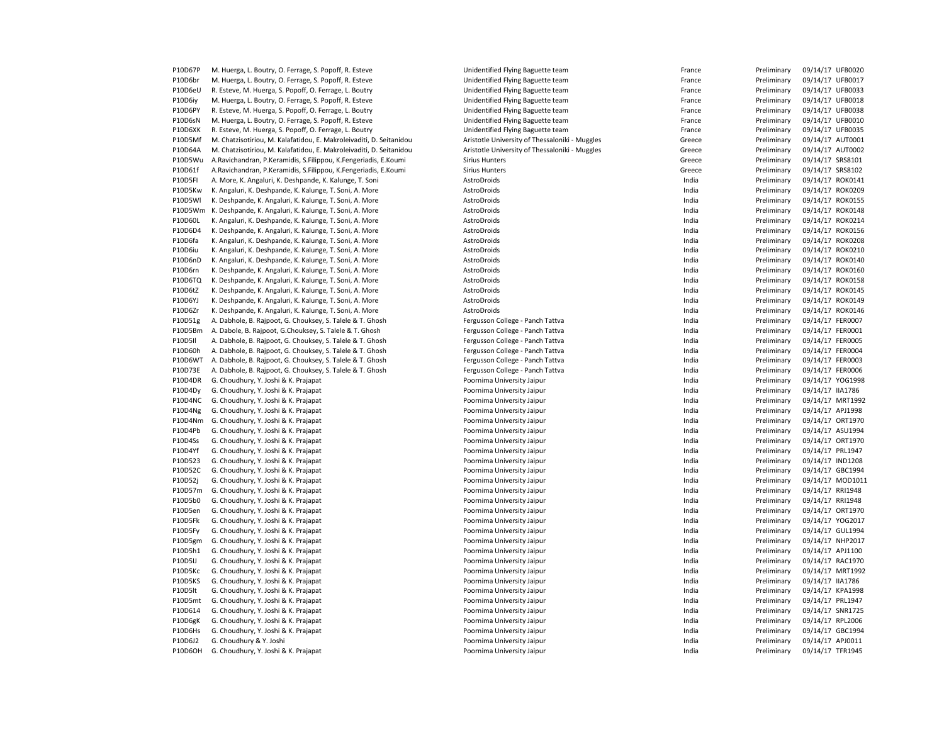| P10D67P | M. Huerga, L. Boutry, O. Ferrage, S. Popoff, R. Esteve              | Unidentified Flying Baguette team              | France | Preliminary | 09/14/17 UFB0020 |
|---------|---------------------------------------------------------------------|------------------------------------------------|--------|-------------|------------------|
| P10D6br | M. Huerga, L. Boutry, O. Ferrage, S. Popoff, R. Esteve              | Unidentified Flying Baguette team              | France | Preliminary | 09/14/17 UFB0017 |
| P10D6eU | R. Esteve, M. Huerga, S. Popoff, O. Ferrage, L. Boutry              | Unidentified Flying Baguette team              | France | Preliminary | 09/14/17 UFB0033 |
| P10D6iy | M. Huerga, L. Boutry, O. Ferrage, S. Popoff, R. Esteve              | Unidentified Flying Baguette team              | France | Preliminary | 09/14/17 UFB0018 |
| P10D6PY | R. Esteve, M. Huerga, S. Popoff, O. Ferrage, L. Boutry              | Unidentified Flying Baguette team              | France | Preliminary | 09/14/17 UFB0038 |
| P10D6sN | M. Huerga, L. Boutry, O. Ferrage, S. Popoff, R. Esteve              | Unidentified Flying Baguette team              | France | Preliminary | 09/14/17 UFB0010 |
| P10D6XK | R. Esteve, M. Huerga, S. Popoff, O. Ferrage, L. Boutry              | Unidentified Flying Baguette team              | France | Preliminary | 09/14/17 UFB0035 |
| P10D5Mf | M. Chatzisotiriou, M. Kalafatidou, E. Makroleivaditi, D. Seitanidou | Aristotle University of Thessaloniki - Muggles | Greece | Preliminary | 09/14/17 AUT0001 |
| P10D64A |                                                                     |                                                |        |             | 09/14/17 AUT0002 |
|         | M. Chatzisotiriou, M. Kalafatidou, E. Makroleivaditi, D. Seitanidou | Aristotle University of Thessaloniki - Muggles | Greece | Preliminary |                  |
| P10D5Wu | A.Ravichandran, P.Keramidis, S.Filippou, K.Fengeriadis, E.Koumi     | <b>Sirius Hunters</b>                          | Greece | Preliminary | 09/14/17 SRS8101 |
| P10D61f | A.Ravichandran, P.Keramidis, S.Filippou, K.Fengeriadis, E.Koumi     | <b>Sirius Hunters</b>                          | Greece | Preliminary | 09/14/17 SRS8102 |
| P10D5FI | A. More, K. Angaluri, K. Deshpande, K. Kalunge, T. Soni             | AstroDroids                                    | India  | Preliminary | 09/14/17 ROK0141 |
| P10D5Kw | K. Angaluri, K. Deshpande, K. Kalunge, T. Soni, A. More             | AstroDroids                                    | India  | Preliminary | 09/14/17 ROK0209 |
| P10D5WI | K. Deshpande, K. Angaluri, K. Kalunge, T. Soni, A. More             | AstroDroids                                    | India  | Preliminary | 09/14/17 ROK0155 |
| P10D5Wm | K. Deshpande, K. Angaluri, K. Kalunge, T. Soni, A. More             | AstroDroids                                    | India  | Preliminary | 09/14/17 ROK0148 |
| P10D60L | K. Angaluri, K. Deshpande, K. Kalunge, T. Soni, A. More             | AstroDroids                                    | India  | Preliminary | 09/14/17 ROK0214 |
| P10D6D4 | K. Deshpande, K. Angaluri, K. Kalunge, T. Soni, A. More             | AstroDroids                                    | India  | Preliminary | 09/14/17 ROK0156 |
| P10D6fa | K. Angaluri, K. Deshpande, K. Kalunge, T. Soni, A. More             | AstroDroids                                    | India  | Preliminary | 09/14/17 ROK0208 |
| P10D6iu | K. Angaluri, K. Deshpande, K. Kalunge, T. Soni, A. More             | AstroDroids                                    | India  | Preliminary | 09/14/17 ROK0210 |
| P10D6nD | K. Angaluri, K. Deshpande, K. Kalunge, T. Soni, A. More             | AstroDroids                                    | India  | Preliminary | 09/14/17 ROK0140 |
| P10D6rn | K. Deshpande, K. Angaluri, K. Kalunge, T. Soni, A. More             | AstroDroids                                    | India  | Preliminary | 09/14/17 ROK0160 |
| P10D6TQ | K. Deshpande, K. Angaluri, K. Kalunge, T. Soni, A. More             | AstroDroids                                    | India  | Preliminary | 09/14/17 ROK0158 |
| P10D6tZ | K. Deshpande, K. Angaluri, K. Kalunge, T. Soni, A. More             | AstroDroids                                    | India  | Preliminary | 09/14/17 ROK0145 |
|         |                                                                     |                                                |        |             |                  |
| P10D6YJ | K. Deshpande, K. Angaluri, K. Kalunge, T. Soni, A. More             | AstroDroids                                    | India  | Preliminary | 09/14/17 ROK0149 |
| P10D6Zr | K. Deshpande, K. Angaluri, K. Kalunge, T. Soni, A. More             | AstroDroids                                    | India  | Preliminary | 09/14/17 ROK0146 |
| P10D51g | A. Dabhole, B. Rajpoot, G. Chouksey, S. Talele & T. Ghosh           | Fergusson College - Panch Tattva               | India  | Preliminary | 09/14/17 FER0007 |
| P10D5Bm | A. Dabole, B. Rajpoot, G.Chouksey, S. Talele & T. Ghosh             | Fergusson College - Panch Tattva               | India  | Preliminary | 09/14/17 FER0001 |
| P10D5II | A. Dabhole, B. Rajpoot, G. Chouksey, S. Talele & T. Ghosh           | Fergusson College - Panch Tattva               | India  | Preliminary | 09/14/17 FER0005 |
| P10D60h | A. Dabhole, B. Rajpoot, G. Chouksey, S. Talele & T. Ghosh           | Fergusson College - Panch Tattva               | India  | Preliminary | 09/14/17 FER0004 |
| P10D6WT | A. Dabhole, B. Rajpoot, G. Chouksey, S. Talele & T. Ghosh           | Fergusson College - Panch Tattva               | India  | Preliminary | 09/14/17 FER0003 |
| P10D73E | A. Dabhole, B. Rajpoot, G. Chouksey, S. Talele & T. Ghosh           | Fergusson College - Panch Tattva               | India  | Preliminary | 09/14/17 FER0006 |
| P10D4DR | G. Choudhury, Y. Joshi & K. Prajapat                                | Poornima University Jaipur                     | India  | Preliminary | 09/14/17 YOG1998 |
| P10D4Dy | G. Choudhury, Y. Joshi & K. Prajapat                                | Poornima University Jaipur                     | India  | Preliminary | 09/14/17 IIA1786 |
| P10D4NC | G. Choudhury, Y. Joshi & K. Prajapat                                | Poornima University Jaipur                     | India  | Preliminary | 09/14/17 MRT1992 |
| P10D4Ng | G. Choudhury, Y. Joshi & K. Prajapat                                | Poornima University Jaipur                     | India  | Preliminary | 09/14/17 APJ1998 |
| P10D4Nm | G. Choudhury, Y. Joshi & K. Prajapat                                | Poornima University Jaipur                     | India  | Preliminary | 09/14/17 ORT1970 |
| P10D4Pb | G. Choudhury, Y. Joshi & K. Prajapat                                | Poornima University Jaipur                     | India  | Preliminary | 09/14/17 ASU1994 |
| P10D4Ss | G. Choudhury, Y. Joshi & K. Prajapat                                | Poornima University Jaipur                     | India  | Preliminary | 09/14/17 ORT1970 |
|         |                                                                     |                                                |        |             |                  |
| P10D4Yf | G. Choudhury, Y. Joshi & K. Prajapat                                | Poornima University Jaipur                     | India  | Preliminary | 09/14/17 PRL1947 |
| P10D523 | G. Choudhury, Y. Joshi & K. Prajapat                                | Poornima University Jaipur                     | India  | Preliminary | 09/14/17 IND1208 |
| P10D52C | G. Choudhury, Y. Joshi & K. Prajapat                                | Poornima University Jaipur                     | India  | Preliminary | 09/14/17 GBC1994 |
| P10D52j | G. Choudhury, Y. Joshi & K. Prajapat                                | Poornima University Jaipur                     | India  | Preliminary | 09/14/17 MOD1011 |
| P10D57m | G. Choudhury, Y. Joshi & K. Prajapat                                | Poornima University Jaipur                     | India  | Preliminary | 09/14/17 RRI1948 |
| P10D5b0 | G. Choudhury, Y. Joshi & K. Prajapat                                | Poornima University Jaipur                     | India  | Preliminary | 09/14/17 RRI1948 |
| P10D5en | G. Choudhury, Y. Joshi & K. Prajapat                                | Poornima University Jaipur                     | India  | Preliminary | 09/14/17 ORT1970 |
| P10D5Fk | G. Choudhury, Y. Joshi & K. Prajapat                                | Poornima University Jaipur                     | India  | Preliminary | 09/14/17 YOG2017 |
| P10D5Fy | G. Choudhury, Y. Joshi & K. Prajapat                                | Poornima University Jaipur                     | India  | Preliminary | 09/14/17 GUL1994 |
| P10D5gm | G. Choudhury, Y. Joshi & K. Prajapat                                | Poornima University Jaipur                     | India  | Preliminary | 09/14/17 NHP2017 |
| P10D5h1 | G. Choudhury, Y. Joshi & K. Prajapat                                | Poornima University Jaipur                     | India  | Preliminary | 09/14/17 APJ1100 |
| P10D5IJ | G. Choudhury, Y. Joshi & K. Prajapat                                | Poornima University Jaipur                     | India  | Preliminary | 09/14/17 RAC1970 |
| P10D5Kc | G. Choudhury, Y. Joshi & K. Prajapat                                | Poornima University Jaipur                     | India  | Preliminary | 09/14/17 MRT1992 |
| P10D5KS | G. Choudhury, Y. Joshi & K. Prajapat                                | Poornima University Jaipur                     | India  | Preliminary | 09/14/17 IIA1786 |
| P10D5lt | G. Choudhury, Y. Joshi & K. Prajapat                                | Poornima University Jaipur                     | India  | Preliminary | 09/14/17 KPA1998 |
| P10D5mt |                                                                     |                                                | India  | Preliminary | 09/14/17 PRL1947 |
|         | G. Choudhury, Y. Joshi & K. Prajapat                                | Poornima University Jaipur                     |        |             |                  |
| P10D614 | G. Choudhury, Y. Joshi & K. Prajapat                                | Poornima University Jaipur                     | India  | Preliminary | 09/14/17 SNR1725 |
| P10D6gK | G. Choudhury, Y. Joshi & K. Prajapat                                | Poornima University Jaipur                     | India  | Preliminary | 09/14/17 RPL2006 |
| P10D6Hs | G. Choudhury, Y. Joshi & K. Prajapat                                | Poornima University Jaipur                     | India  | Preliminary | 09/14/17 GBC1994 |
| P10D6J2 | G. Choudhury & Y. Joshi                                             | Poornima University Jaipur                     | India  | Preliminary | 09/14/17 APJ0011 |
| P10D6OH | G. Choudhury, Y. Joshi & K. Prajapat                                | Poornima University Jaipur                     | India  | Preliminary | 09/14/17 TFR1945 |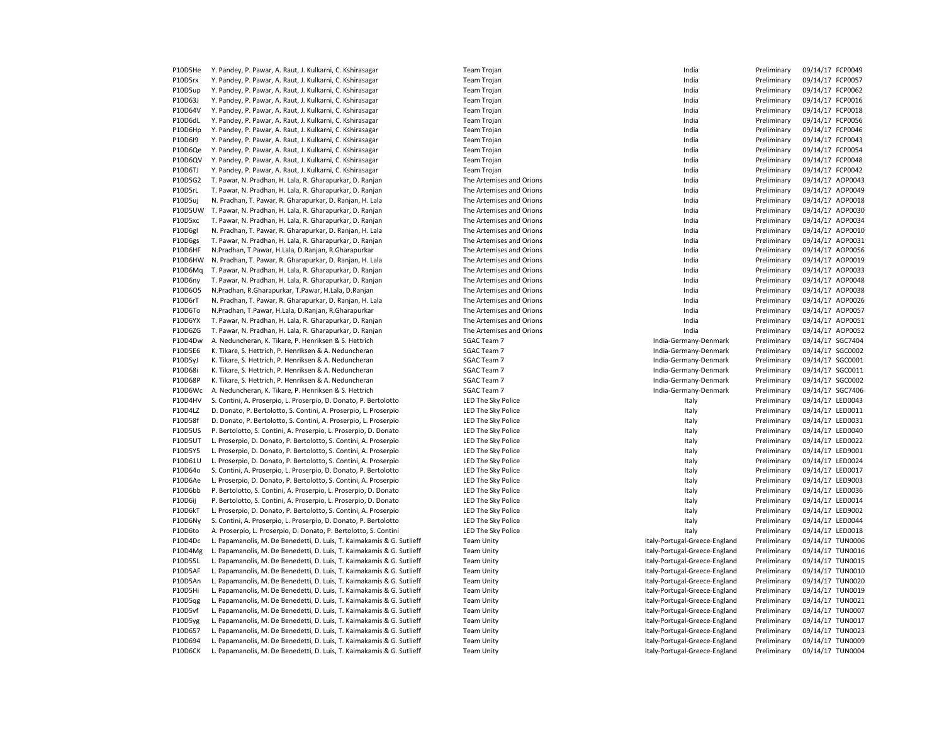| P10D5He        | Y. Pandey, P. Pawar, A. Raut, J. Kulkarni, C. Kshirasagar             | <b>Team Trojan</b>       | India                         | Preliminary | 09/14/17 FCP0049 |
|----------------|-----------------------------------------------------------------------|--------------------------|-------------------------------|-------------|------------------|
| P10D5rx        | Y. Pandey, P. Pawar, A. Raut, J. Kulkarni, C. Kshirasagar             | Team Trojan              | India                         | Preliminary | 09/14/17 FCP0057 |
| P10D5up        | Y. Pandey, P. Pawar, A. Raut, J. Kulkarni, C. Kshirasagar             | Team Trojan              | India                         | Preliminary | 09/14/17 FCP0062 |
| P10D63J        | Y. Pandey, P. Pawar, A. Raut, J. Kulkarni, C. Kshirasagar             | <b>Team Trojan</b>       | India                         | Preliminary | 09/14/17 FCP0016 |
| P10D64V        | Y. Pandey, P. Pawar, A. Raut, J. Kulkarni, C. Kshirasagar             | <b>Team Trojan</b>       | India                         | Preliminary | 09/14/17 FCP0018 |
| P10D6dL        | Y. Pandey, P. Pawar, A. Raut, J. Kulkarni, C. Kshirasagar             | <b>Team Trojan</b>       | India                         | Preliminary | 09/14/17 FCP0056 |
| P10D6Hp        | Y. Pandey, P. Pawar, A. Raut, J. Kulkarni, C. Kshirasagar             | <b>Team Trojan</b>       | India                         | Preliminary | 09/14/17 FCP0046 |
| P10D6I9        | Y. Pandey, P. Pawar, A. Raut, J. Kulkarni, C. Kshirasagar             | <b>Team Trojan</b>       | India                         | Preliminary | 09/14/17 FCP0043 |
| P10D6Qe        | Y. Pandey, P. Pawar, A. Raut, J. Kulkarni, C. Kshirasagar             | <b>Team Trojan</b>       | India                         | Preliminary | 09/14/17 FCP0054 |
| P10D6QV        | Y. Pandey, P. Pawar, A. Raut, J. Kulkarni, C. Kshirasagar             | <b>Team Trojan</b>       | India                         | Preliminary | 09/14/17 FCP0048 |
|                |                                                                       |                          |                               |             |                  |
| P10D6TJ        | Y. Pandey, P. Pawar, A. Raut, J. Kulkarni, C. Kshirasagar             | <b>Team Trojan</b>       | India                         | Preliminary | 09/14/17 FCP0042 |
| P10D5G2        | T. Pawar, N. Pradhan, H. Lala, R. Gharapurkar, D. Ranjan              | The Artemises and Orions | India                         | Preliminary | 09/14/17 AOP0043 |
| P10D5rL        | T. Pawar, N. Pradhan, H. Lala, R. Gharapurkar, D. Ranjan              | The Artemises and Orions | India                         | Preliminary | 09/14/17 AOP0049 |
| P10D5uj        | N. Pradhan, T. Pawar, R. Gharapurkar, D. Ranjan, H. Lala              | The Artemises and Orions | India                         | Preliminary | 09/14/17 AOP0018 |
| P10D5UW        | T. Pawar, N. Pradhan, H. Lala, R. Gharapurkar, D. Ranjan              | The Artemises and Orions | India                         | Preliminary | 09/14/17 AOP0030 |
| P10D5xc        | T. Pawar, N. Pradhan, H. Lala, R. Gharapurkar, D. Ranjan              | The Artemises and Orions | India                         | Preliminary | 09/14/17 AOP0034 |
| P10D6gl        | N. Pradhan, T. Pawar, R. Gharapurkar, D. Ranjan, H. Lala              | The Artemises and Orions | India                         | Preliminary | 09/14/17 AOP0010 |
| P10D6gs        | T. Pawar, N. Pradhan, H. Lala, R. Gharapurkar, D. Ranjan              | The Artemises and Orions | India                         | Preliminary | 09/14/17 AOP0031 |
| P10D6HF        | N.Pradhan, T.Pawar, H.Lala, D.Ranjan, R.Gharapurkar                   | The Artemises and Orions | India                         | Preliminary | 09/14/17 AOP0056 |
| P10D6HW        | N. Pradhan, T. Pawar, R. Gharapurkar, D. Ranjan, H. Lala              | The Artemises and Orions | India                         | Preliminary | 09/14/17 AOP0019 |
| P10D6Mg        | T. Pawar, N. Pradhan, H. Lala, R. Gharapurkar, D. Ranjan              | The Artemises and Orions | India                         | Preliminary | 09/14/17 AOP0033 |
| P10D6ny        | T. Pawar, N. Pradhan, H. Lala, R. Gharapurkar, D. Ranjan              | The Artemises and Orions | India                         | Preliminary | 09/14/17 AOP0048 |
| P10D6O5        | N.Pradhan, R.Gharapurkar, T.Pawar, H.Lala, D.Ranjan                   | The Artemises and Orions | India                         | Preliminary | 09/14/17 AOP0038 |
| P10D6rT        | N. Pradhan, T. Pawar, R. Gharapurkar, D. Ranjan, H. Lala              | The Artemises and Orions | India                         | Preliminary | 09/14/17 AOP0026 |
| P10D6To        | N.Pradhan, T.Pawar, H.Lala, D.Ranjan, R.Gharapurkar                   | The Artemises and Orions | India                         | Preliminary | 09/14/17 AOP0057 |
| P10D6YX        | T. Pawar, N. Pradhan, H. Lala, R. Gharapurkar, D. Ranjan              | The Artemises and Orions | India                         | Preliminary | 09/14/17 AOP0051 |
| P10D6ZG        | T. Pawar, N. Pradhan, H. Lala, R. Gharapurkar, D. Ranjan              | The Artemises and Orions | India                         | Preliminary | 09/14/17 AOP0052 |
| P10D4Dw        | A. Neduncheran, K. Tikare, P. Henriksen & S. Hettrich                 | SGAC Team 7              | India-Germany-Denmark         | Preliminary | 09/14/17 SGC7404 |
| P10D5E6        | K. Tikare, S. Hettrich, P. Henriksen & A. Neduncheran                 | SGAC Team 7              | India-Germany-Denmark         | Preliminary | 09/14/17 SGC0002 |
| P10D5yJ        | K. Tikare, S. Hettrich, P. Henriksen & A. Neduncheran                 | SGAC Team 7              | India-Germany-Denmark         | Preliminary | 09/14/17 SGC0001 |
| P10D68i        | K. Tikare, S. Hettrich, P. Henriksen & A. Neduncheran                 | <b>SGAC Team 7</b>       | India-Germany-Denmark         | Preliminary | 09/14/17 SGC0011 |
| P10D68P        | K. Tikare, S. Hettrich, P. Henriksen & A. Neduncheran                 | SGAC Team 7              | India-Germany-Denmark         | Preliminary | 09/14/17 SGC0002 |
|                |                                                                       |                          |                               |             |                  |
| P10D6Wc        | A. Neduncheran, K. Tikare, P. Henriksen & S. Hettrich                 | SGAC Team 7              | India-Germany-Denmark         | Preliminary | 09/14/17 SGC7406 |
| P10D4HV        | S. Contini, A. Proserpio, L. Proserpio, D. Donato, P. Bertolotto      | LED The Sky Police       | Italy                         | Preliminary | 09/14/17 LED0043 |
| P10D4LZ        | D. Donato, P. Bertolotto, S. Contini, A. Proserpio, L. Proserpio      | LED The Sky Police       | Italy                         | Preliminary | 09/14/17 LED0011 |
| P10D58f        | D. Donato, P. Bertolotto, S. Contini, A. Proserpio, L. Proserpio      | LED The Sky Police       | Italy                         | Preliminary | 09/14/17 LED0031 |
| <b>P10D5US</b> | P. Bertolotto, S. Contini, A. Proserpio, L. Proserpio, D. Donato      | LED The Sky Police       | Italy                         | Preliminary | 09/14/17 LED0040 |
| <b>P10D5UT</b> | L. Proserpio, D. Donato, P. Bertolotto, S. Contini, A. Proserpio      | LED The Sky Police       | Italy                         | Preliminary | 09/14/17 LED0022 |
| P10D5Y5        | L. Proserpio, D. Donato, P. Bertolotto, S. Contini, A. Proserpio      | LED The Sky Police       | Italy                         | Preliminary | 09/14/17 LED9001 |
| P10D61U        | L. Proserpio, D. Donato, P. Bertolotto, S. Contini, A. Proserpio      | LED The Sky Police       | Italy                         | Preliminary | 09/14/17 LED0024 |
| P10D64o        | S. Contini, A. Proserpio, L. Proserpio, D. Donato, P. Bertolotto      | LED The Sky Police       | Italy                         | Preliminary | 09/14/17 LED0017 |
| P10D6Ae        | L. Proserpio, D. Donato, P. Bertolotto, S. Contini, A. Proserpio      | LED The Sky Police       | Italy                         | Preliminary | 09/14/17 LED9003 |
| P10D6bb        | P. Bertolotto, S. Contini, A. Proserpio, L. Proserpio, D. Donato      | LED The Sky Police       | Italy                         | Preliminary | 09/14/17 LED0036 |
| P10D6ij        | P. Bertolotto, S. Contini, A. Proserpio, L. Proserpio, D. Donato      | LED The Sky Police       | Italy                         | Preliminary | 09/14/17 LED0014 |
| P10D6kT        | L. Proserpio, D. Donato, P. Bertolotto, S. Contini, A. Proserpio      | LED The Sky Police       | Italy                         | Preliminary | 09/14/17 LED9002 |
| P10D6Ny        | S. Contini, A. Proserpio, L. Proserpio, D. Donato, P. Bertolotto      | LED The Sky Police       | Italy                         | Preliminary | 09/14/17 LED0044 |
| P10D6to        | A. Proserpio, L. Proserpio, D. Donato, P. Bertolotto, S. Contini      | LED The Sky Police       | Italy                         | Preliminary | 09/14/17 LED0018 |
| P10D4Dc        | L. Papamanolis, M. De Benedetti, D. Luis, T. Kaimakamis & G. Sutlieff | <b>Team Unity</b>        | Italy-Portugal-Greece-England | Preliminary | 09/14/17 TUN0006 |
| P10D4Mg        | L. Papamanolis, M. De Benedetti, D. Luis, T. Kaimakamis & G. Sutlieff | <b>Team Unity</b>        | Italy-Portugal-Greece-England | Preliminary | 09/14/17 TUN0016 |
| P10D55L        | L. Papamanolis, M. De Benedetti, D. Luis, T. Kaimakamis & G. Sutlieff | <b>Team Unity</b>        | Italy-Portugal-Greece-England | Preliminary | 09/14/17 TUN0015 |
| P10D5AF        | L. Papamanolis, M. De Benedetti, D. Luis, T. Kaimakamis & G. Sutlieff | <b>Team Unity</b>        | Italy-Portugal-Greece-England | Preliminary | 09/14/17 TUN0010 |
| P10D5An        | L. Papamanolis, M. De Benedetti, D. Luis, T. Kaimakamis & G. Sutlieff | <b>Team Unity</b>        | Italy-Portugal-Greece-England | Preliminary | 09/14/17 TUN0020 |
| P10D5Hi        | L. Papamanolis, M. De Benedetti, D. Luis, T. Kaimakamis & G. Sutlieff | <b>Team Unity</b>        | Italy-Portugal-Greece-England | Preliminary | 09/14/17 TUN0019 |
| P10D5qg        | L. Papamanolis, M. De Benedetti, D. Luis, T. Kaimakamis & G. Sutlieff | <b>Team Unity</b>        | Italy-Portugal-Greece-England | Preliminary | 09/14/17 TUN0021 |
| P10D5vf        | L. Papamanolis, M. De Benedetti, D. Luis, T. Kaimakamis & G. Sutlieff | <b>Team Unity</b>        | Italy-Portugal-Greece-England | Preliminary | 09/14/17 TUN0007 |
|                |                                                                       |                          |                               |             |                  |
| P10D5yg        | L. Papamanolis, M. De Benedetti, D. Luis, T. Kaimakamis & G. Sutlieff | <b>Team Unity</b>        | Italy-Portugal-Greece-England | Preliminary | 09/14/17 TUN0017 |
| P10D657        | L. Papamanolis, M. De Benedetti, D. Luis, T. Kaimakamis & G. Sutlieff | <b>Team Unity</b>        | Italy-Portugal-Greece-England | Preliminary | 09/14/17 TUN0023 |
| P10D694        | L. Papamanolis, M. De Benedetti, D. Luis, T. Kaimakamis & G. Sutlieff | <b>Team Unity</b>        | Italy-Portugal-Greece-England | Preliminary | 09/14/17 TUN0009 |
| P10D6CK        | L. Papamanolis, M. De Benedetti, D. Luis, T. Kaimakamis & G. Sutlieff | <b>Team Unity</b>        | Italy-Portugal-Greece-England | Preliminary | 09/14/17 TUN0004 |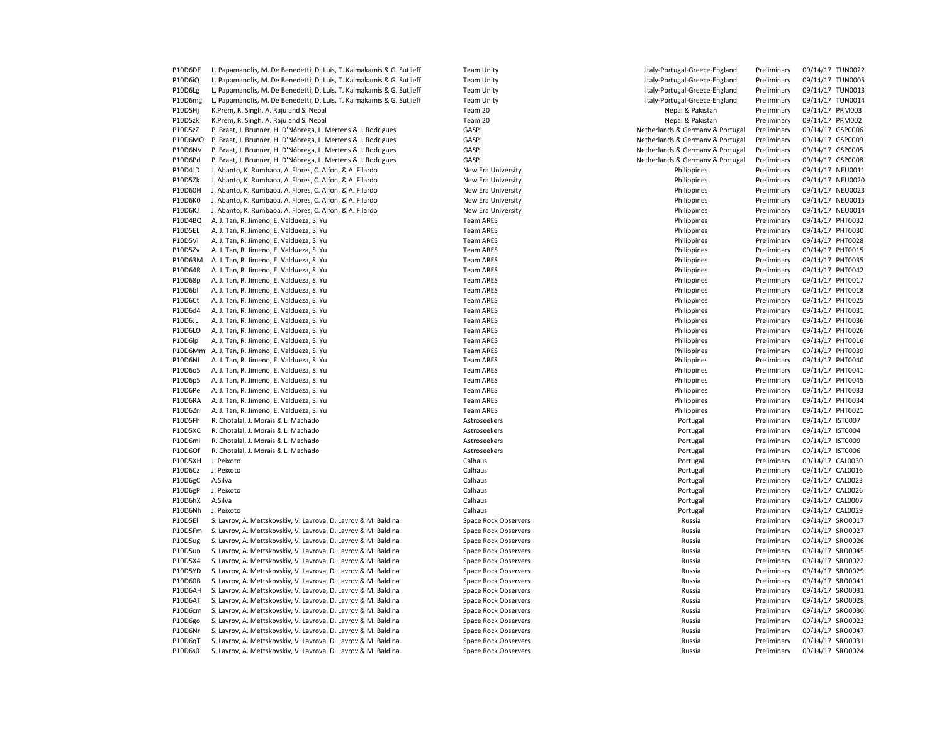| P10D6DE        | L. Papamanolis, M. De Benedetti, D. Luis, T. Kaimakamis & G. Sutlieff | <b>Team Unity</b>    | Italy-Portugal-Greece-England    | Preliminary | 09/14/17 TUN0022 |
|----------------|-----------------------------------------------------------------------|----------------------|----------------------------------|-------------|------------------|
| P10D6iQ        | L. Papamanolis, M. De Benedetti, D. Luis, T. Kaimakamis & G. Sutlieff | <b>Team Unity</b>    | Italy-Portugal-Greece-England    | Preliminary | 09/14/17 TUN0005 |
| P10D6Lg        | L. Papamanolis, M. De Benedetti, D. Luis, T. Kaimakamis & G. Sutlieff | <b>Team Unity</b>    | Italy-Portugal-Greece-England    | Preliminary | 09/14/17 TUN0013 |
| P10D6mg        | L. Papamanolis, M. De Benedetti, D. Luis, T. Kaimakamis & G. Sutlieff | <b>Team Unity</b>    | Italy-Portugal-Greece-England    | Preliminary | 09/14/17 TUN0014 |
| P10D5Hj        | K.Prem, R. Singh, A. Raju and S. Nepal                                | Team 20              | Nepal & Pakistan                 | Preliminary | 09/14/17 PRM003  |
| P10D5zk        | K.Prem, R. Singh, A. Raju and S. Nepal                                | Team 20              | Nepal & Pakistan                 | Preliminary | 09/14/17 PRM002  |
| P10D5zZ        | P. Braat, J. Brunner, H. D'Nóbrega, L. Mertens & J. Rodrigues         | GASP!                | Netherlands & Germany & Portugal | Preliminary | 09/14/17 GSP0006 |
| P10D6MO        | P. Braat, J. Brunner, H. D'Nóbrega, L. Mertens & J. Rodrigues         | GASP!                | Netherlands & Germany & Portugal | Preliminary | 09/14/17 GSP0009 |
| P10D6NV        | P. Braat, J. Brunner, H. D'Nóbrega, L. Mertens & J. Rodrigues         | GASP!                | Netherlands & Germany & Portugal | Preliminary | 09/14/17 GSP0005 |
| P10D6Pd        | P. Braat, J. Brunner, H. D'Nóbrega, L. Mertens & J. Rodrigues         | GASP!                | Netherlands & Germany & Portugal | Preliminary | 09/14/17 GSP0008 |
|                |                                                                       |                      |                                  |             |                  |
| P10D4JD        | J. Abanto, K. Rumbaoa, A. Flores, C. Alfon, & A. Filardo              | New Era University   | Philippines                      | Preliminary | 09/14/17 NEU0011 |
| P10D5Zk        | J. Abanto, K. Rumbaoa, A. Flores, C. Alfon, & A. Filardo              | New Era University   | Philippines                      | Preliminary | 09/14/17 NEU0020 |
| P10D60H        | J. Abanto, K. Rumbaoa, A. Flores, C. Alfon, & A. Filardo              | New Era University   | Philippines                      | Preliminary | 09/14/17 NEU0023 |
| P10D6K0        | J. Abanto, K. Rumbaoa, A. Flores, C. Alfon, & A. Filardo              | New Era University   | Philippines                      | Preliminary | 09/14/17 NEU0015 |
| P10D6KJ        | J. Abanto, K. Rumbaoa, A. Flores, C. Alfon, & A. Filardo              | New Era University   | Philippines                      | Preliminary | 09/14/17 NEU0014 |
| P10D4BQ        | A. J. Tan, R. Jimeno, E. Valdueza, S. Yu                              | <b>Team ARES</b>     | Philippines                      | Preliminary | 09/14/17 PHT0032 |
| P10D5EL        | A. J. Tan, R. Jimeno, E. Valdueza, S. Yu                              | <b>Team ARES</b>     | Philippines                      | Preliminary | 09/14/17 PHT0030 |
| P10D5Vi        | A. J. Tan, R. Jimeno, E. Valdueza, S. Yu                              | <b>Team ARES</b>     | Philippines                      | Preliminary | 09/14/17 PHT0028 |
| P10D5Zv        | A. J. Tan, R. Jimeno, E. Valdueza, S. Yu                              | <b>Team ARES</b>     | Philippines                      | Preliminary | 09/14/17 PHT0015 |
| P10D63M        | A. J. Tan, R. Jimeno, E. Valdueza, S. Yu                              | <b>Team ARES</b>     | Philippines                      | Preliminary | 09/14/17 PHT0035 |
| P10D64R        | A. J. Tan, R. Jimeno, E. Valdueza, S. Yu                              | <b>Team ARES</b>     | Philippines                      | Preliminary | 09/14/17 PHT0042 |
| P10D68p        | A. J. Tan, R. Jimeno, E. Valdueza, S. Yu                              | <b>Team ARES</b>     | Philippines                      | Preliminary | 09/14/17 PHT0017 |
| P10D6bl        | A. J. Tan, R. Jimeno, E. Valdueza, S. Yu                              | <b>Team ARES</b>     | Philippines                      | Preliminary | 09/14/17 PHT0018 |
| P10D6Ct        | A. J. Tan, R. Jimeno, E. Valdueza, S. Yu                              | <b>Team ARES</b>     | Philippines                      | Preliminary | 09/14/17 PHT0025 |
| P10D6d4        | A. J. Tan, R. Jimeno, E. Valdueza, S. Yu                              | <b>Team ARES</b>     | Philippines                      | Preliminary | 09/14/17 PHT0031 |
| P10D6JL        | A. J. Tan, R. Jimeno, E. Valdueza, S. Yu                              | <b>Team ARES</b>     | Philippines                      | Preliminary | 09/14/17 PHT0036 |
| P10D6LO        | A. J. Tan, R. Jimeno, E. Valdueza, S. Yu                              | <b>Team ARES</b>     | Philippines                      | Preliminary | 09/14/17 PHT0026 |
| P10D6lp        | A. J. Tan, R. Jimeno, E. Valdueza, S. Yu                              | <b>Team ARES</b>     | Philippines                      | Preliminary | 09/14/17 PHT0016 |
|                |                                                                       |                      |                                  |             |                  |
| P10D6Mm        | A. J. Tan, R. Jimeno, E. Valdueza, S. Yu                              | <b>Team ARES</b>     | Philippines                      | Preliminary | 09/14/17 PHT0039 |
| <b>P10D6NI</b> | A. J. Tan, R. Jimeno, E. Valdueza, S. Yu                              | <b>Team ARES</b>     | Philippines                      | Preliminary | 09/14/17 PHT0040 |
| P10D6o5        | A. J. Tan, R. Jimeno, E. Valdueza, S. Yu                              | <b>Team ARES</b>     | Philippines                      | Preliminary | 09/14/17 PHT0041 |
| P10D6p5        | A. J. Tan, R. Jimeno, E. Valdueza, S. Yu                              | <b>Team ARES</b>     | Philippines                      | Preliminary | 09/14/17 PHT0045 |
| P10D6Pe        | A. J. Tan, R. Jimeno, E. Valdueza, S. Yu                              | <b>Team ARES</b>     | Philippines                      | Preliminary | 09/14/17 PHT0033 |
| P10D6RA        | A. J. Tan, R. Jimeno, E. Valdueza, S. Yu                              | <b>Team ARES</b>     | Philippines                      | Preliminary | 09/14/17 PHT0034 |
| P10D6Zn        | A. J. Tan, R. Jimeno, E. Valdueza, S. Yu                              | <b>Team ARES</b>     | Philippines                      | Preliminary | 09/14/17 PHT0021 |
| P10D5Fh        | R. Chotalal, J. Morais & L. Machado                                   | Astroseekers         | Portugal                         | Preliminary | 09/14/17 IST0007 |
| P10D5XC        | R. Chotalal, J. Morais & L. Machado                                   | Astroseekers         | Portugal                         | Preliminary | 09/14/17 IST0004 |
| P10D6mi        | R. Chotalal, J. Morais & L. Machado                                   | Astroseekers         | Portugal                         | Preliminary | 09/14/17 IST0009 |
| P10D6Of        | R. Chotalal, J. Morais & L. Machado                                   | Astroseekers         | Portugal                         | Preliminary | 09/14/17 IST0006 |
| P10D5XH        | J. Peixoto                                                            | Calhaus              | Portugal                         | Preliminary | 09/14/17 CAL0030 |
| P10D6Cz        | J. Peixoto                                                            | Calhaus              | Portugal                         | Preliminary | 09/14/17 CAL0016 |
| P10D6gC        | A.Silva                                                               | Calhaus              | Portugal                         | Preliminary | 09/14/17 CAL0023 |
| P10D6gP        | J. Peixoto                                                            | Calhaus              | Portugal                         | Preliminary | 09/14/17 CAL0026 |
| P10D6hX        | A.Silva                                                               | Calhaus              | Portugal                         | Preliminary | 09/14/17 CAL0007 |
| P10D6Nh        | J. Peixoto                                                            | Calhaus              | Portugal                         | Preliminary | 09/14/17 CAL0029 |
| P10D5EI        | S. Lavrov, A. Mettskovskiy, V. Lavrova, D. Lavrov & M. Baldina        | Space Rock Observers | Russia                           | Preliminary | 09/14/17 SRO0017 |
| P10D5Fm        | S. Lavrov, A. Mettskovskiy, V. Lavrova, D. Lavrov & M. Baldina        | Space Rock Observers | Russia                           | Preliminary | 09/14/17 SRO0027 |
|                |                                                                       |                      |                                  |             |                  |
| P10D5ug        | S. Lavrov, A. Mettskovskiy, V. Lavrova, D. Lavrov & M. Baldina        | Space Rock Observers | Russia                           | Preliminary | 09/14/17 SRO0026 |
| P10D5un        | S. Lavrov, A. Mettskovskiy, V. Lavrova, D. Lavrov & M. Baldina        | Space Rock Observers | Russia                           | Preliminary | 09/14/17 SRO0045 |
| P10D5X4        | S. Lavrov, A. Mettskovskiy, V. Lavrova, D. Lavrov & M. Baldina        | Space Rock Observers | Russia                           | Preliminary | 09/14/17 SRO0022 |
| P10D5YD        | S. Lavrov, A. Mettskovskiy, V. Lavrova, D. Lavrov & M. Baldina        | Space Rock Observers | Russia                           | Preliminary | 09/14/17 SRO0029 |
| P10D60B        | S. Lavrov, A. Mettskovskiy, V. Lavrova, D. Lavrov & M. Baldina        | Space Rock Observers | Russia                           | Preliminary | 09/14/17 SRO0041 |
| P10D6AH        | S. Lavrov, A. Mettskovskiy, V. Lavrova, D. Lavrov & M. Baldina        | Space Rock Observers | Russia                           | Preliminary | 09/14/17 SRO0031 |
| P10D6AT        | S. Lavrov, A. Mettskovskiy, V. Lavrova, D. Lavrov & M. Baldina        | Space Rock Observers | Russia                           | Preliminary | 09/14/17 SRO0028 |
| P10D6cm        | S. Lavrov, A. Mettskovskiy, V. Lavrova, D. Lavrov & M. Baldina        | Space Rock Observers | Russia                           | Preliminary | 09/14/17 SRO0030 |
| P10D6go        | S. Lavrov, A. Mettskovskiy, V. Lavrova, D. Lavrov & M. Baldina        | Space Rock Observers | Russia                           | Preliminary | 09/14/17 SRO0023 |
| P10D6Nr        | S. Lavrov, A. Mettskovskiy, V. Lavrova, D. Lavrov & M. Baldina        | Space Rock Observers | Russia                           | Preliminary | 09/14/17 SRO0047 |
| P10D6qT        | S. Lavrov, A. Mettskovskiy, V. Lavrova, D. Lavrov & M. Baldina        | Space Rock Observers | Russia                           | Preliminary | 09/14/17 SRO0031 |
| P10D6s0        | S. Lavrov, A. Mettskovskiy, V. Lavrova, D. Lavrov & M. Baldina        | Space Rock Observers | Russia                           | Preliminary | 09/14/17 SRO0024 |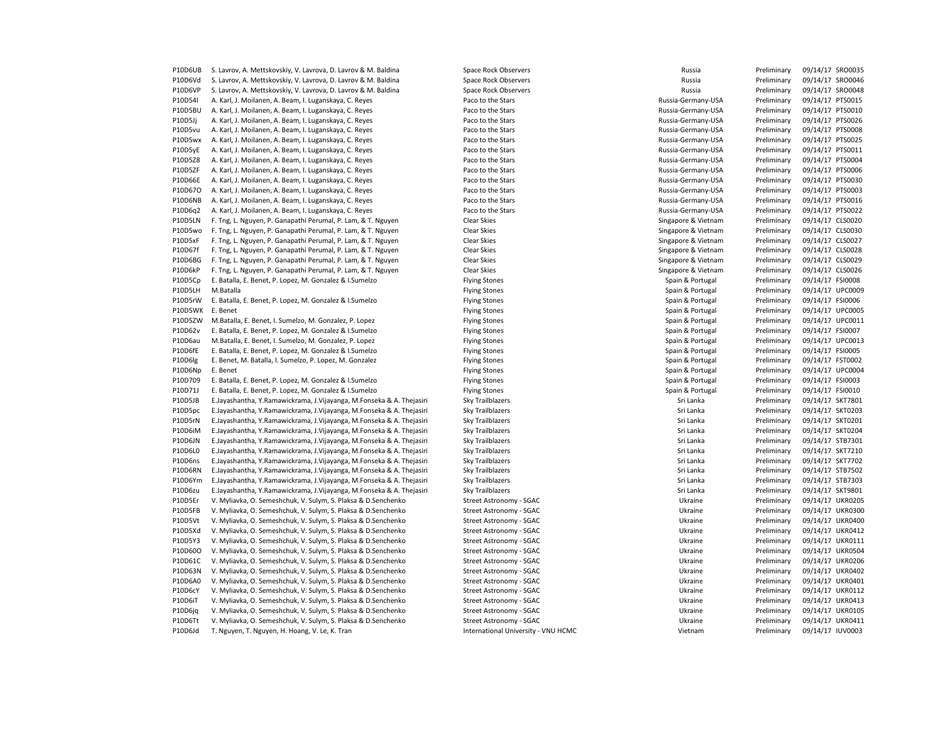P10D6UB S. Lavrov, A. Mettskovskiy, V. Lavrova, D. Lavrov & M. Baldina Space Rock Observers Space Rock Observers Russia Preliminary 09/14/17 SRO0035 P10D6Vd S. Lavrov, A. Mettskovskiy, V. Lavrova, D. Lavrov & M. Baldina Space Rock Observers Space Rock Observers Russia Preliminary 09/14/17 SRO0046 P10D6VP S. Lavrov, A. Mettskovskiy, V. Lavrova, D. Lavrov & M. Baldina Space Rock Observers Space Rock Observers Russia Preliminary 09/14/17 SRO0048 P10D54I A. Karl, J. Moilanen, A. Beam, I. Luganskaya, C. Reyes Paco to the Stars Paco to the Stars Paco to the Stars Russia-Germany-USA Preliminary 09/14/17 PTS0015<br>P10D5BU A. Karl. J. Moilanen. A. Beam. I. Luganskaya. C. P10D5BU A. Karl, J. Moilanen, A. Beam, I. Luganskaya, C. Reyes Paco to the Stars Paco to the Stars Paco to the Stars Russia-Germany-USA Preliminary 09/14/17 PTS0010<br>P10D5Jj A. Karl, J. Moilanen, A. Beam, I. Luganskaya, C. P10D5Jj A. Karl, J. Moilanen, A. Beam, I. Luganskaya, C. Reyes Paco to the Stars Paco to the Stars Preliminary 2005 P10D5vu A. Karl, J. Moilanen, A. Beam, I. Luganskaya, C. Reyes Paco to the Stars Paco to the Stars Preliminary Russia-Germany-USA Preliminary 09/14/17 PTS0008 P10D5wx A. Karl, J. Moilanen, A. Beam, I. Luganskaya, C. Reyes Paco to the Stars Paco to the Stars Russia-Germany-USA Preliminary 09/14/17 PTS0025 P10D5yE A. Karl, J. Moilanen, A. Beam, I. Luganskaya, C. Reyes Paco to the Stars Paco to the Stars Russia-Germany-USA Preliminary 09/14/17 PTS0011 P10D5Z8 A. Karl, J. Moilanen, A. Beam, I. Luganskaya, C. Reyes Paco to the Stars Russia-Germany-USA Preliminary 09/14/17 PTS0004 P10D5ZF A. Karl, J. Moilanen, A. Beam, I. Luganskaya, C. Reyes Paco to the Stars Russia-Germany-USA Preliminary 09/14/17 PTS0006 P10D66E A. Karl, J. Moilanen, A. Beam, I. Luganskaya, C. Reyes Paco to the Stars Russia-Germany-USA Preliminary 09/14/17 PTS0030 P10D67O A. Karl, J. Moilanen, A. Beam, I. Luganskaya, C. Reyes Paco to the Stars Paco to the Stars Preliminary Russia-Germany-USA Preliminary 09/14/17 PTS0003 P10D6NB A. Karl, J. Moilanen, A. Beam, I. Luganskaya, C. Reyes Paco to the Stars Russia-Germany-USA Preliminary 09/14/17 PTS0016 P10D6q2 A. Karl, J. Moilanen, A. Beam, I. Luganskaya, C. Reyes Paco to the Stars Paco to the Stars Russia-Germany-USA Preliminary 09/14/17 PTS0022 P10D5LN F. Tng, L. Nguyen, P. Ganapathi Perumal, P. Lam, & T. Nguyen Clear Skies Singapore & Vietnam Preliminary 09/14/17 CLS0020 P10D5wo F. Tng, L. Nguyen, P. Ganapathi Perumal, P. Lam, & T. Nguyen Clear Skies Clear Skies Singapore & Vietnam Preliminary 09/14/17 CLS0030 P10D5xF F. Tng, L. Nguyen, P. Ganapathi Perumal, P. Lam, & T. Nguyen Clear Skies Clear Skies Singapore & Vietnam Preliminary 09/14/17 CLS0027 P10D67f F. Tng, L. Nguyen, P. Ganapathi Perumal, P. Lam, & T. Nguyen Clear Skies Clear Skies Singapore & Vietnam Preliminary 09/14/17 CLS0028 P10D6BG F. Tng, L. Nguyen, P. Ganapathi Perumal, P. Lam, & T. Nguyen Clear Skies Clear Skies Singapore & Vietnam Preliminary 09/14/17 CLS0029 P10D6kP F. Tng, L. Nguyen, P. Ganapathi Perumal, P. Lam, & T. Nguyen Clear Skies Clear Skies Singapore & Vietnam Preliminary 09/14/17 CLS0026 P10D5Cp E. Batalla, E. Benet, P. Lopez, M. Gonzalez & I.Sumelzo Flying Stones Flying Stones Spain & Portugal Preliminary 09/14/17 FSI0008 P10D5LH M.Batalla **Flying Stones Spain & Preliminary 09/14/17 UPC0009** Preliminary 09/14/17 UPC0009 P10D5rW E. Batalla, E. Benet, P. Lopez, M. Gonzalez & I.Sumelzo Flying Stones Flying Stones Spain & Portugal Preliminary 09/14/17 FSI0006 P10D5WK E.Benet **Flying Stones Spain & Preliminary 09/14/17 UPC0005** Flying Stones Spain & Portugal Preliminary 09/14/17 UPC0005 P10D5ZW M.Batalla, E. Benet, I. Sumelzo, M. Gonzalez, P. Lopez Flying Stones Spain & Portugal Preliminary 09/14/17 UPC0011 P10D62v E. Batalla, E. Benet, P. Lopez, M. Gonzalez & I.Sumelzo Flying Stones Flying Stones Spain & Portugal Preliminary 09/14/17 FSI0007 P10D6au M.Batalla, E. Benet, I. Sumelzo, M. Gonzalez, P. Lopez Flying Stones Flying Stones Spain & Portugal Preliminary 09/14/17 UPC0013 P10D6fE E. Batalla, E. Benet, P. Lopez, M. Gonzalez & I.Sumelzo Flying Stones Spain & Portugal Preliminary 09/14/17 FSI0005 P10D6lg E. Benet, M. Batalla, I. Sumelzo, P. Lopez, M. Gonzalez Flying Stones Flying Stones Spain & Portugal Preliminary 09/14/17 FST0002 P10D6Np E. Benet **Flying Stones Spain & Portugal Preliminary** 09/14/17 UPC0004 P10D709 E. Batalla, E. Benet, P. Lopez, M. Gonzalez & I.Sumelzo Flying Stones Flying Stones Spain & Portugal Preliminary 09/14/17 FSI0003 P10D71J E. Batalla, E. Benet, P. Lopez, M. Gonzalez & I.Sumelzo Flying Stones Flying Stones Spain & Portugal Preliminary 09/14/17 FSI0010 P10D5JB E.Jayashantha, Y.Ramawickrama, J.Vijayanga, M.Fonseka & A. Thejasiri Sky Trailblazers Sri Lanka Preliminary 09/14/17 SKT7801 P10D5pc E.Jayashantha, Y.Ramawickrama, J.Vijayanga, M.Fonseka & A. Thejasiri Sky Trailblazers Sri Lanka Preliminary 09/14/17 SKT0203 P10D5rN E.Jayashantha, Y.Ramawickrama, J.Vijayanga, M.Fonseka & A. Thejasiri Sky Trailblazers Sri Lanka Preliminary 09/14/17 SKT0201 P10D6iM E.Jayashantha, Y.Ramawickrama, J.Vijayanga, M.Fonseka & A. Thejasiri Sky Trailblazers Sri Lanka Preliminary 09/14/17 SKT0204 P10D6JN E.Jayashantha, Y.Ramawickrama, J.Vijayanga, M.Fonseka & A. Thejasiri Sky Trailblazers Sri Lanka Preliminary 09/14/17 STB7301 P10D6L0 E.Jayashantha, Y.Ramawickrama, J.Vijayanga, M.Fonseka & A. Thejasiri Sky Trailblazers Sri Lanka Preliminary of the iminary of the iminary of the iminary of the iminary of the iminary of the iminary of the iminary o P10D6ns E.Jayashantha, Y.Ramawickrama, J.Vijayanga, M.Fonseka & A. Thejasiri Sky Trailblazers Sri Lanka Preliminary 09/14/17 SKT7702 P10D6RN E.Jayashantha, Y.Ramawickrama, J.Vijayanga, M.Fonseka & A. Thejasiri Sky Trailblazers Sri Lanka Preliminary 09/14/17 STB7502 P10D6Ym E.Jayashantha, Y.Ramawickrama, J.Vijayanga, M.Fonseka & A. Thejasiri Sky Trailblazers Sri Lanka Preliminary 09/14/17 STB7303 P10D6zu E.Jayashantha, Y.Ramawickrama, J.Vijayanga, M.Fonseka & A. Thejasiri Sky Trailblazers Sri Lanka Preliminary 09/14/17 SKT9801 P10D5Er V. Myliavka, O. Semeshchuk, V. Sulym, S. Plaksa & D.Senchenko Street Astronomy - SGAC Ukraine Preliminary 09/14/17 UKR0205 P10D5FB V. Myliavka, O. Semeshchuk, V. Sulym, S. Plaksa & D.Senchenko Street Astronomy - SGAC Street Astronomy - SCAC Ukraine Preliminary 09/14/17 UKR0300 P10D5Vt V. Myliavka, O. Semeshchuk, V. Sulym, S. Plaksa & D.Senchenko Street Astronomy - SGAC Street Astronomy - Street Astronomy - SGAC Veraine Preliminary 09/14/17 UKR0400 P10D5Xd V. Myliavka, O. Semeshchuk, V. Sulym, S. Plaksa & D.Senchenko Street Astronomy - SGAC Ukraine Preliminary 09/14/17 UKR0412 P10D5Y3 V. Myliavka, O. Semeshchuk, V. Sulym, S. Plaksa & D.Senchenko Street Astronomy - SGAC Street Astronomy - SGAC Ukraine Preliminary 09/14/17 UKR0111 P10D60O V. Myliavka, O. Semeshchuk, V. Sulym, S. Plaksa & D.Senchenko Street Astronomy - SGAC Street Astronomy - SCAC Ukraine Preliminary 09/14/17 UKR0504 P10D61C V. Myliavka, O. Semeshchuk, V. Sulym, S. Plaksa & D.Senchenko Street Astronomy - SGAC Street Astronomy - SCAC Ukraine Preliminary 09/14/17 UKR0206 P10D63N V. Myliavka, O. Semeshchuk, V. Sulym, S. Plaksa & D.Senchenko Street Astronomy - SGAC Street Astronomy - Street Astronomy - SGAC Ukraine Preliminary 09/14/17 UKR0402 P10D6A0 V. Myliavka, O. Semeshchuk, V. Sulym, S. Plaksa & D.Senchenko Street Astronomy - SGAC Street Astronomy - Street Astronomy - SGAC V. Myliavka, O. Semeshchuk, V. Sulym, S. Plaksa & D.Senchenko P10D6cY V. Myliavka, O. Semeshchuk, V. Sulym, S. Plaksa & D.Senchenko Street Astronomy - SGAC Street Astronomy - SGAC Ukraine Preliminary 09/14/17 UKR0112 P10D6iT V. Myliavka, O. Semeshchuk, V. Sulym, S. Plaksa & D.Senchenko Street Astronomy - SGAC Street Astronomy - SGAC Ukraine Preliminary 09/14/17 UKR0413 P10D6ig V. Myliavka, O. Semeshchuk, V. Sulym, S. Plaksa & D.Senchenko Street Astronomy - SGAC Street Astronomy - SGAC Ukraine Preliminary 09/14/17 UKR0105 P10D6Tt V. Myliavka, O. Semeshchuk, V. Sulym, S. Plaksa & D.Senchenko Street Astronomy - SGAC Ukraine Preliminary 09/14/17 UKR0411 P10D6Jd T. Nguyen, T. Nguyen, H. Hoang, V. Le, K. Tran **International University - VNU HCMC** Vietnam Vietnam Preliminary 09/14/17 IUV0003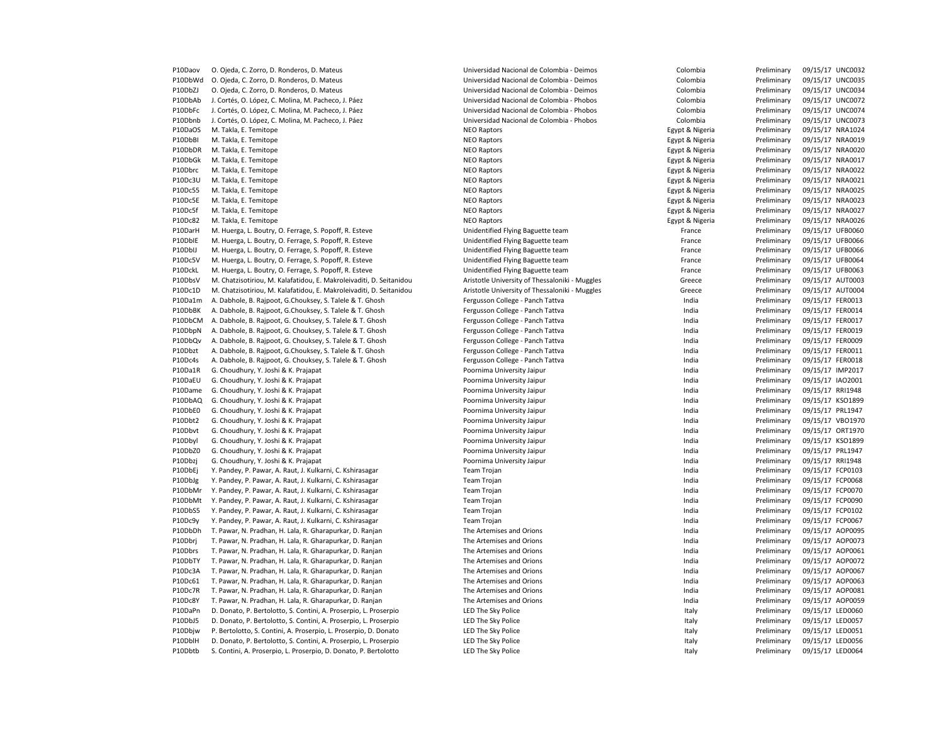| P10Daov | O. Ojeda, C. Zorro, D. Ronderos, D. Mateus                          | Universidad Nacional de Colombia - Deimos      | Colombia        | Preliminary | 09/15/17 UNC0032 |
|---------|---------------------------------------------------------------------|------------------------------------------------|-----------------|-------------|------------------|
| P10DbWd | O. Ojeda, C. Zorro, D. Ronderos, D. Mateus                          | Universidad Nacional de Colombia - Deimos      | Colombia        | Preliminary | 09/15/17 UNC0035 |
| P10DbZJ | O. Ojeda, C. Zorro, D. Ronderos, D. Mateus                          | Universidad Nacional de Colombia - Deimos      | Colombia        | Preliminary | 09/15/17 UNC0034 |
| P10DbAb | J. Cortés, O. López, C. Molina, M. Pacheco, J. Páez                 | Universidad Nacional de Colombia - Phobos      | Colombia        | Preliminary | 09/15/17 UNC0072 |
| P10DbFc | J. Cortés, O. López, C. Molina, M. Pacheco, J. Páez                 | Universidad Nacional de Colombia - Phobos      | Colombia        | Preliminary | 09/15/17 UNC0074 |
| P10Dbnb | J. Cortés, O. López, C. Molina, M. Pacheco, J. Páez                 | Universidad Nacional de Colombia - Phobos      | Colombia        | Preliminary | 09/15/17 UNC0073 |
| P10DaOS | M. Takla, E. Temitope                                               | <b>NEO Raptors</b>                             | Egypt & Nigeria | Preliminary | 09/15/17 NRA1024 |
| P10DbBI | M. Takla, E. Temitope                                               | <b>NEO Raptors</b>                             | Egypt & Nigeria | Preliminary | 09/15/17 NRA0019 |
| P10DbDR |                                                                     |                                                |                 |             | 09/15/17 NRA0020 |
|         | M. Takla, E. Temitope                                               | <b>NEO Raptors</b>                             | Egypt & Nigeria | Preliminary |                  |
| P10DbGk | M. Takla, E. Temitope                                               | <b>NEO Raptors</b>                             | Egypt & Nigeria | Preliminary | 09/15/17 NRA0017 |
| P10Dbrc | M. Takla, E. Temitope                                               | <b>NEO Raptors</b>                             | Egypt & Nigeria | Preliminary | 09/15/17 NRA0022 |
| P10Dc3U | M. Takla, E. Temitope                                               | <b>NEO Raptors</b>                             | Egypt & Nigeria | Preliminary | 09/15/17 NRA0021 |
| P10Dc55 | M. Takla, E. Temitope                                               | <b>NEO Raptors</b>                             | Egypt & Nigeria | Preliminary | 09/15/17 NRA0025 |
| P10Dc5E | M. Takla, E. Temitope                                               | <b>NEO Raptors</b>                             | Egypt & Nigeria | Preliminary | 09/15/17 NRA0023 |
| P10Dc5f | M. Takla, E. Temitope                                               | <b>NEO Raptors</b>                             | Egypt & Nigeria | Preliminary | 09/15/17 NRA0027 |
| P10Dc82 | M. Takla, E. Temitope                                               | <b>NEO Raptors</b>                             | Egypt & Nigeria | Preliminary | 09/15/17 NRA0026 |
| P10DarH | M. Huerga, L. Boutry, O. Ferrage, S. Popoff, R. Esteve              | Unidentified Flying Baguette team              | France          | Preliminary | 09/15/17 UFB0060 |
| P10DbIE | M. Huerga, L. Boutry, O. Ferrage, S. Popoff, R. Esteve              | Unidentified Flying Baguette team              | France          | Preliminary | 09/15/17 UFB0066 |
| P10DbIJ | M. Huerga, L. Boutry, O. Ferrage, S. Popoff, R. Esteve              | Unidentified Flying Baguette team              | France          | Preliminary | 09/15/17 UFB0066 |
| P10Dc5V | M. Huerga, L. Boutry, O. Ferrage, S. Popoff, R. Esteve              | Unidentified Flying Baguette team              | France          | Preliminary | 09/15/17 UFB0064 |
|         |                                                                     |                                                |                 |             |                  |
| P10DckL | M. Huerga, L. Boutry, O. Ferrage, S. Popoff, R. Esteve              | Unidentified Flying Baguette team              | France          | Preliminary | 09/15/17 UFB0063 |
| P10DbsV | M. Chatzisotiriou, M. Kalafatidou, E. Makroleivaditi, D. Seitanidou | Aristotle University of Thessaloniki - Muggles | Greece          | Preliminary | 09/15/17 AUT0003 |
| P10Dc1D | M. Chatzisotiriou, M. Kalafatidou, E. Makroleivaditi, D. Seitanidou | Aristotle University of Thessaloniki - Muggles | Greece          | Preliminary | 09/15/17 AUT0004 |
| P10Da1m | A. Dabhole, B. Rajpoot, G.Chouksey, S. Talele & T. Ghosh            | Fergusson College - Panch Tattva               | India           | Preliminary | 09/15/17 FER0013 |
| P10DbBK | A. Dabhole, B. Rajpoot, G.Chouksey, S. Talele & T. Ghosh            | Fergusson College - Panch Tattva               | India           | Preliminary | 09/15/17 FER0014 |
| P10DbCM | A. Dabhole, B. Rajpoot, G. Chouksey, S. Talele & T. Ghosh           | Fergusson College - Panch Tattva               | India           | Preliminary | 09/15/17 FER0017 |
| P10DbpN | A. Dabhole, B. Rajpoot, G. Chouksey, S. Talele & T. Ghosh           | Fergusson College - Panch Tattva               | India           | Preliminary | 09/15/17 FER0019 |
| P10DbQv | A. Dabhole, B. Rajpoot, G. Chouksey, S. Talele & T. Ghosh           | Fergusson College - Panch Tattva               | India           | Preliminary | 09/15/17 FER0009 |
| P10Dbzt | A. Dabhole, B. Rajpoot, G.Chouksey, S. Talele & T. Ghosh            | Fergusson College - Panch Tattva               | India           | Preliminary | 09/15/17 FER0011 |
| P10Dc4s | A. Dabhole, B. Rajpoot, G. Chouksey, S. Talele & T. Ghosh           | Fergusson College - Panch Tattva               | India           | Preliminary | 09/15/17 FER0018 |
| P10Da1R | G. Choudhury, Y. Joshi & K. Prajapat                                | Poornima University Jaipur                     | India           | Preliminary | 09/15/17 IMP2017 |
| P10DaEU | G. Choudhury, Y. Joshi & K. Prajapat                                | Poornima University Jaipur                     | India           | Preliminary | 09/15/17 IAO2001 |
|         |                                                                     |                                                |                 |             |                  |
| P10Dame | G. Choudhury, Y. Joshi & K. Prajapat                                | Poornima University Jaipur                     | India           | Preliminary | 09/15/17 RRI1948 |
| P10DbAQ | G. Choudhury, Y. Joshi & K. Prajapat                                | Poornima University Jaipur                     | India           | Preliminary | 09/15/17 KSO1899 |
| P10DbE0 | G. Choudhury, Y. Joshi & K. Prajapat                                | Poornima University Jaipur                     | India           | Preliminary | 09/15/17 PRL1947 |
| P10Dbt2 | G. Choudhury, Y. Joshi & K. Prajapat                                | Poornima University Jaipur                     | India           | Preliminary | 09/15/17 VBO1970 |
| P10Dbvt | G. Choudhury, Y. Joshi & K. Prajapat                                | Poornima University Jaipur                     | India           | Preliminary | 09/15/17 ORT1970 |
| P10Dbyl | G. Choudhury, Y. Joshi & K. Prajapat                                | Poornima University Jaipur                     | India           | Preliminary | 09/15/17 KSO1899 |
| P10DbZ0 | G. Choudhury, Y. Joshi & K. Prajapat                                | Poornima University Jaipur                     | India           | Preliminary | 09/15/17 PRL1947 |
| P10Dbzj | G. Choudhury, Y. Joshi & K. Prajapat                                | Poornima University Jaipur                     | India           | Preliminary | 09/15/17 RRI1948 |
| P10DbEj | Y. Pandey, P. Pawar, A. Raut, J. Kulkarni, C. Kshirasagar           | Team Trojan                                    | India           | Preliminary | 09/15/17 FCP0103 |
| P10DbJg | Y. Pandey, P. Pawar, A. Raut, J. Kulkarni, C. Kshirasagar           | Team Trojan                                    | India           | Preliminary | 09/15/17 FCP0068 |
| P10DbMr | Y. Pandey, P. Pawar, A. Raut, J. Kulkarni, C. Kshirasagar           | Team Trojan                                    | India           | Preliminary | 09/15/17 FCP0070 |
| P10DbMt | Y. Pandey, P. Pawar, A. Raut, J. Kulkarni, C. Kshirasagar           | Team Trojan                                    | India           | Preliminary | 09/15/17 FCP0090 |
| P10DbS5 | Y. Pandey, P. Pawar, A. Raut, J. Kulkarni, C. Kshirasagar           | Team Trojan                                    | India           | Preliminary | 09/15/17 FCP0102 |
|         |                                                                     |                                                |                 |             |                  |
| P10Dc9y | Y. Pandey, P. Pawar, A. Raut, J. Kulkarni, C. Kshirasagar           | <b>Team Trojan</b>                             | India           | Preliminary | 09/15/17 FCP0067 |
| P10DbDh | T. Pawar, N. Pradhan, H. Lala, R. Gharapurkar, D. Ranjan            | The Artemises and Orions                       | India           | Preliminary | 09/15/17 AOP0095 |
| P10Dbrj | T. Pawar, N. Pradhan, H. Lala, R. Gharapurkar, D. Ranjan            | The Artemises and Orions                       | India           | Preliminary | 09/15/17 AOP0073 |
| P10Dbrs | T. Pawar, N. Pradhan, H. Lala, R. Gharapurkar, D. Ranjan            | The Artemises and Orions                       | India           | Preliminary | 09/15/17 AOP0061 |
| P10DbTY | T. Pawar, N. Pradhan, H. Lala, R. Gharapurkar, D. Ranjan            | The Artemises and Orions                       | India           | Preliminary | 09/15/17 AOP0072 |
| P10Dc3A | T. Pawar, N. Pradhan, H. Lala, R. Gharapurkar, D. Ranjan            | The Artemises and Orions                       | India           | Preliminary | 09/15/17 AOP0067 |
| P10Dc61 | T. Pawar, N. Pradhan, H. Lala, R. Gharapurkar, D. Ranjan            | The Artemises and Orions                       | India           | Preliminary | 09/15/17 AOP0063 |
| P10Dc7R | T. Pawar, N. Pradhan, H. Lala, R. Gharapurkar, D. Ranjan            | The Artemises and Orions                       | India           | Preliminary | 09/15/17 AOP0081 |
| P10Dc8Y | T. Pawar, N. Pradhan, H. Lala, R. Gharapurkar, D. Ranjan            | The Artemises and Orions                       | India           | Preliminary | 09/15/17 AOP0059 |
| P10DaPn | D. Donato, P. Bertolotto, S. Contini, A. Proserpio, L. Proserpio    | LED The Sky Police                             | Italy           | Preliminary | 09/15/17 LED0060 |
| P10DbJ5 | D. Donato, P. Bertolotto, S. Contini, A. Proserpio, L. Proserpio    | LED The Sky Police                             | Italy           | Preliminary | 09/15/17 LED0057 |
|         |                                                                     |                                                |                 |             |                  |
| P10Dbjw | P. Bertolotto, S. Contini, A. Proserpio, L. Proserpio, D. Donato    | LED The Sky Police                             | Italy           | Preliminary | 09/15/17 LED0051 |
| P10DblH | D. Donato, P. Bertolotto, S. Contini, A. Proserpio, L. Proserpio    | LED The Sky Police                             | Italy           | Preliminary | 09/15/17 LED0056 |
| P10Dbtb | S. Contini, A. Proserpio, L. Proserpio, D. Donato, P. Bertolotto    | LED The Sky Police                             | Italy           | Preliminary | 09/15/17 LED0064 |